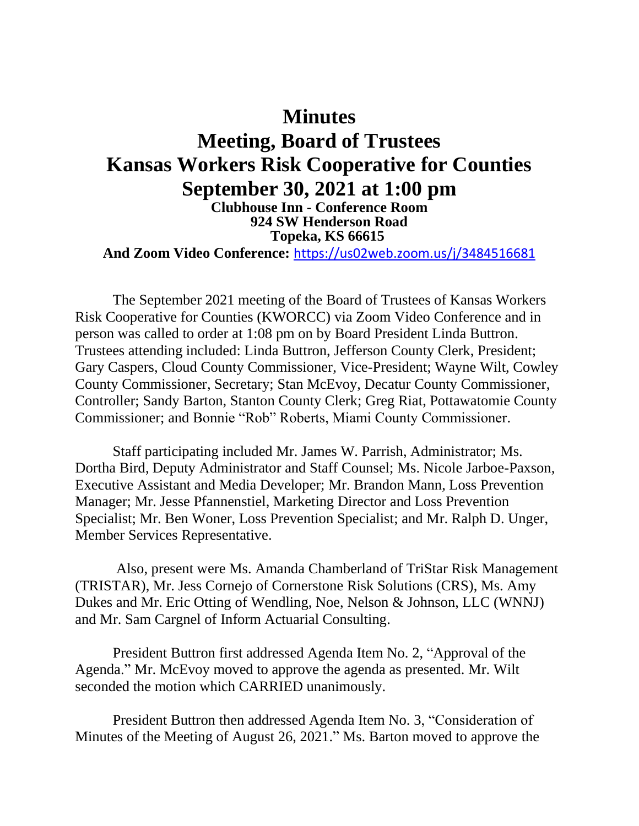## **Minutes Meeting, Board of Trustees Kansas Workers Risk Cooperative for Counties September 30, 2021 at 1:00 pm Clubhouse Inn - Conference Room 924 SW Henderson Road Topeka, KS 66615 And Zoom Video Conference:** <https://us02web.zoom.us/j/3484516681>

The September 2021 meeting of the Board of Trustees of Kansas Workers Risk Cooperative for Counties (KWORCC) via Zoom Video Conference and in person was called to order at 1:08 pm on by Board President Linda Buttron. Trustees attending included: Linda Buttron, Jefferson County Clerk, President; Gary Caspers, Cloud County Commissioner, Vice-President; Wayne Wilt, Cowley County Commissioner, Secretary; Stan McEvoy, Decatur County Commissioner, Controller; Sandy Barton, Stanton County Clerk; Greg Riat, Pottawatomie County Commissioner; and Bonnie "Rob" Roberts, Miami County Commissioner.

Staff participating included Mr. James W. Parrish, Administrator; Ms. Dortha Bird, Deputy Administrator and Staff Counsel; Ms. Nicole Jarboe-Paxson, Executive Assistant and Media Developer; Mr. Brandon Mann, Loss Prevention Manager; Mr. Jesse Pfannenstiel, Marketing Director and Loss Prevention Specialist; Mr. Ben Woner, Loss Prevention Specialist; and Mr. Ralph D. Unger, Member Services Representative.

Also, present were Ms. Amanda Chamberland of TriStar Risk Management (TRISTAR), Mr. Jess Cornejo of Cornerstone Risk Solutions (CRS), Ms. Amy Dukes and Mr. Eric Otting of Wendling, Noe, Nelson & Johnson, LLC (WNNJ) and Mr. Sam Cargnel of Inform Actuarial Consulting.

President Buttron first addressed Agenda Item No. 2, "Approval of the Agenda." Mr. McEvoy moved to approve the agenda as presented. Mr. Wilt seconded the motion which CARRIED unanimously.

President Buttron then addressed Agenda Item No. 3, "Consideration of Minutes of the Meeting of August 26, 2021." Ms. Barton moved to approve the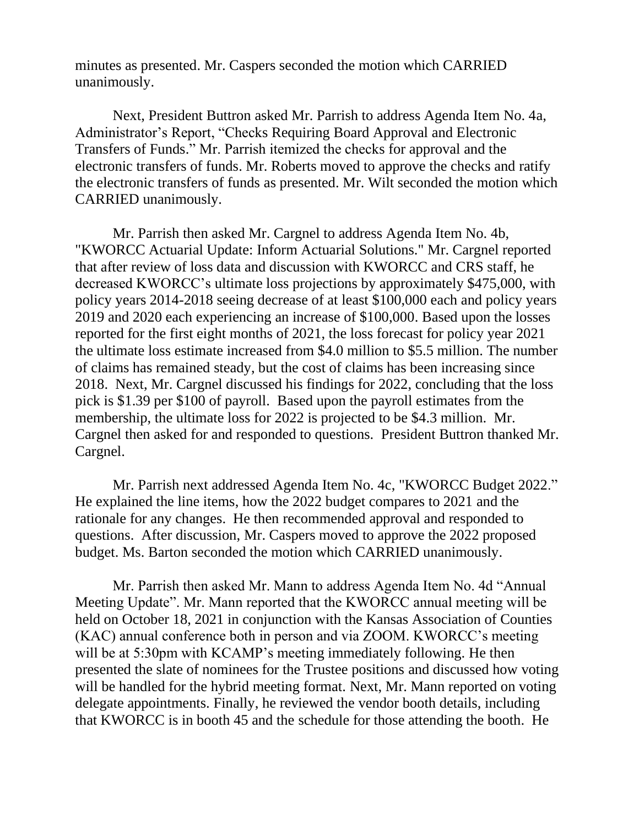minutes as presented. Mr. Caspers seconded the motion which CARRIED unanimously.

Next, President Buttron asked Mr. Parrish to address Agenda Item No. 4a, Administrator's Report, "Checks Requiring Board Approval and Electronic Transfers of Funds." Mr. Parrish itemized the checks for approval and the electronic transfers of funds. Mr. Roberts moved to approve the checks and ratify the electronic transfers of funds as presented. Mr. Wilt seconded the motion which CARRIED unanimously.

Mr. Parrish then asked Mr. Cargnel to address Agenda Item No. 4b, "KWORCC Actuarial Update: Inform Actuarial Solutions." Mr. Cargnel reported that after review of loss data and discussion with KWORCC and CRS staff, he decreased KWORCC's ultimate loss projections by approximately \$475,000, with policy years 2014-2018 seeing decrease of at least \$100,000 each and policy years 2019 and 2020 each experiencing an increase of \$100,000. Based upon the losses reported for the first eight months of 2021, the loss forecast for policy year 2021 the ultimate loss estimate increased from \$4.0 million to \$5.5 million. The number of claims has remained steady, but the cost of claims has been increasing since 2018. Next, Mr. Cargnel discussed his findings for 2022, concluding that the loss pick is \$1.39 per \$100 of payroll. Based upon the payroll estimates from the membership, the ultimate loss for 2022 is projected to be \$4.3 million. Mr. Cargnel then asked for and responded to questions. President Buttron thanked Mr. Cargnel.

Mr. Parrish next addressed Agenda Item No. 4c, "KWORCC Budget 2022." He explained the line items, how the 2022 budget compares to 2021 and the rationale for any changes. He then recommended approval and responded to questions. After discussion, Mr. Caspers moved to approve the 2022 proposed budget. Ms. Barton seconded the motion which CARRIED unanimously.

Mr. Parrish then asked Mr. Mann to address Agenda Item No. 4d "Annual Meeting Update". Mr. Mann reported that the KWORCC annual meeting will be held on October 18, 2021 in conjunction with the Kansas Association of Counties (KAC) annual conference both in person and via ZOOM. KWORCC's meeting will be at 5:30pm with KCAMP's meeting immediately following. He then presented the slate of nominees for the Trustee positions and discussed how voting will be handled for the hybrid meeting format. Next, Mr. Mann reported on voting delegate appointments. Finally, he reviewed the vendor booth details, including that KWORCC is in booth 45 and the schedule for those attending the booth. He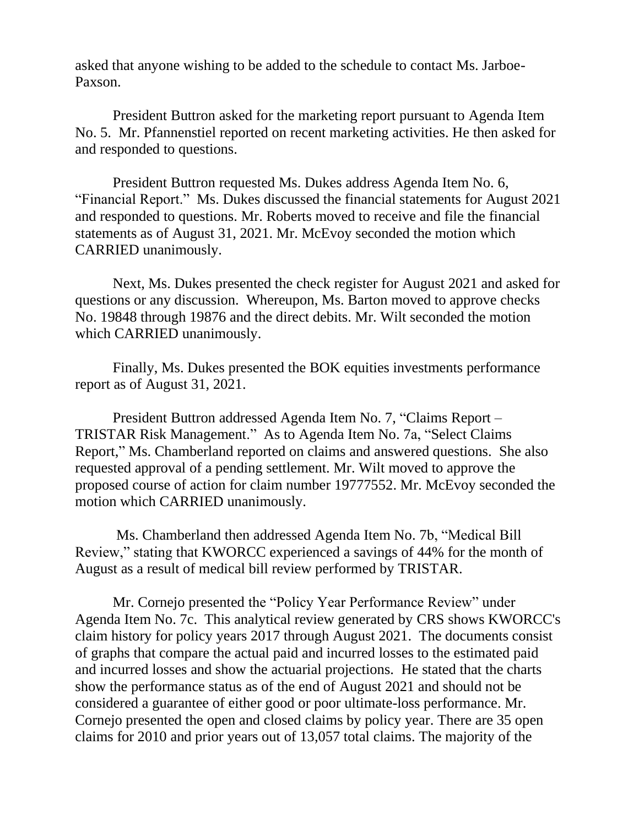asked that anyone wishing to be added to the schedule to contact Ms. Jarboe-Paxson.

President Buttron asked for the marketing report pursuant to Agenda Item No. 5. Mr. Pfannenstiel reported on recent marketing activities. He then asked for and responded to questions.

President Buttron requested Ms. Dukes address Agenda Item No. 6, "Financial Report." Ms. Dukes discussed the financial statements for August 2021 and responded to questions. Mr. Roberts moved to receive and file the financial statements as of August 31, 2021. Mr. McEvoy seconded the motion which CARRIED unanimously.

Next, Ms. Dukes presented the check register for August 2021 and asked for questions or any discussion. Whereupon, Ms. Barton moved to approve checks No. 19848 through 19876 and the direct debits. Mr. Wilt seconded the motion which CARRIED unanimously.

Finally, Ms. Dukes presented the BOK equities investments performance report as of August 31, 2021.

President Buttron addressed Agenda Item No. 7, "Claims Report – TRISTAR Risk Management." As to Agenda Item No. 7a, "Select Claims Report," Ms. Chamberland reported on claims and answered questions. She also requested approval of a pending settlement. Mr. Wilt moved to approve the proposed course of action for claim number 19777552. Mr. McEvoy seconded the motion which CARRIED unanimously.

Ms. Chamberland then addressed Agenda Item No. 7b, "Medical Bill Review," stating that KWORCC experienced a savings of 44% for the month of August as a result of medical bill review performed by TRISTAR.

Mr. Cornejo presented the "Policy Year Performance Review" under Agenda Item No. 7c. This analytical review generated by CRS shows KWORCC's claim history for policy years 2017 through August 2021. The documents consist of graphs that compare the actual paid and incurred losses to the estimated paid and incurred losses and show the actuarial projections. He stated that the charts show the performance status as of the end of August 2021 and should not be considered a guarantee of either good or poor ultimate-loss performance. Mr. Cornejo presented the open and closed claims by policy year. There are 35 open claims for 2010 and prior years out of 13,057 total claims. The majority of the